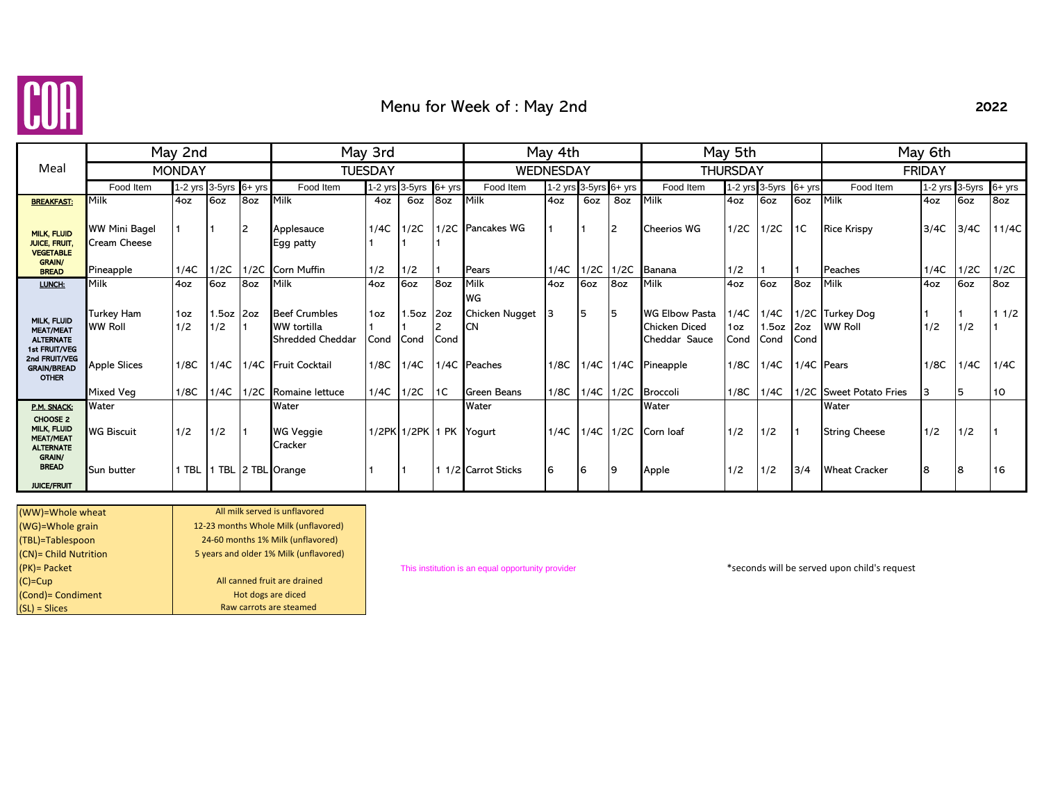

# Menu for Week of : May 2nd

| I |
|---|
|---|

|                                                                                |                                      | May 2nd                |                    |           |                                                                       | May 3rd        |                |             |                                   |      | May 4th |                            |                                                         |                     | May 5th               |             | May 6th                           |      |                |          |  |
|--------------------------------------------------------------------------------|--------------------------------------|------------------------|--------------------|-----------|-----------------------------------------------------------------------|----------------|----------------|-------------|-----------------------------------|------|---------|----------------------------|---------------------------------------------------------|---------------------|-----------------------|-------------|-----------------------------------|------|----------------|----------|--|
| Meal                                                                           |                                      | <b>MONDAY</b>          |                    |           |                                                                       | <b>TUESDAY</b> |                |             | WEDNESDAY                         |      |         |                            | <b>THURSDAY</b>                                         |                     |                       |             | <b>FRIDAY</b>                     |      |                |          |  |
|                                                                                | Food Item                            | 1-2 yrs 3-5yrs         |                    | $6 + yrs$ | Food Item                                                             |                | 1-2 yrs 3-5yrs | $6 + yrs$   | Food Item                         |      |         | 1-2 yrs $3-5$ yrs $6+$ yrs | Food Item                                               |                     | 1-2 yrs 3-5yrs        | $6+$ yrs    | Food Item                         |      | 1-2 yrs 3-5yrs | $6+$ yrs |  |
| <b>BREAKFAST:</b>                                                              | Milk                                 | 4oz                    | 6oz                | 8oz       | Milk                                                                  | 4oz            | 6oz            | 8oz         | Milk                              | 4oz  | 6oz     | 8oz                        | Milk                                                    | 4oz                 | 6oz                   | 6oz         | Milk                              | 4oz  | 6oz            | 8oz      |  |
| <b>MILK, FLUID</b><br><b>JUICE, FRUIT</b><br><b>VEGETABLE</b><br><b>GRAIN/</b> | <b>WW Mini Bagel</b><br>Cream Cheese |                        |                    | 2         | Applesauce<br>Egg patty                                               | 1/4C           | 1/2C           |             | 1/2C Pancakes WG                  |      |         | 12                         | Cheerios WG                                             | 1/2C                | 1/2C                  | 1C          | <b>Rice Krispy</b>                | 3/4C | 3/4C           | 11/4C    |  |
| <b>BREAD</b>                                                                   | Pineapple                            | 1/4C                   | 1/2C               | 1/2C      | <b>Corn Muffin</b>                                                    | 1/2            | 1/2            |             | Pears                             | 1/4C | 1/2C    | 1/2C                       | Banana                                                  | 1/2                 |                       |             | Peaches                           | 1/4C | 1/2C           | 1/2C     |  |
| LUNCH:                                                                         | Milk                                 | 4oz                    | 6oz                | 8oz       | Milk                                                                  | 4oz            | 6oz            | 8oz         | Milk                              | 4oz  | 6oz     | 8oz                        | Milk                                                    | 4oz                 | 6oz                   | 8oz         | Milk                              | 4oz  | 6oz            | 8oz      |  |
| MILK, FLUID<br><b>MEAT/MEAT</b><br><b>ALTERNATE</b><br>1st FRUIT/VEG           | Turkey Ham<br><b>WW Roll</b>         | 1 <sub>oz</sub><br>1/2 | $1.5oz$ 2oz<br>1/2 |           | <b>Beef Crumbles</b><br><b>WW</b> tortilla<br><b>Shredded Cheddar</b> | 1oz<br>Cond    | 1.5oz<br>Cond  | 2oz<br>Cond | WG<br>Chicken Nugget<br><b>CN</b> |      | 5       | 15                         | <b>WG Elbow Pasta</b><br>Chicken Diced<br>Cheddar Sauce | 1/4C<br>1oz<br>Cond | 1/4C<br>1.5oz<br>Cond | 2oz<br>Cond | 1/2C Turkey Dog<br><b>WW Roll</b> | 1/2  | 1/2            | 11/2     |  |
| 2nd FRUIT/VEG<br><b>GRAIN/BREAD</b><br><b>OTHER</b>                            | <b>Apple Slices</b>                  | 1/8C                   | 1/4C               |           | 1/4C Fruit Cocktail                                                   | 1/8C           | 1/4C           |             | 1/4C Peaches                      | 1/8C | 1/4C    | 1/4C                       | Pineapple                                               | 1/8C                | 1/4C                  |             | 1/4C Pears                        | 1/8C | 1/4C           | 1/4C     |  |
|                                                                                | Mixed Veg                            | 1/8C                   | 1/4C               | 1/2C      | Romaine lettuce                                                       | 1/4C           | 1/2C           | 1C          | <b>Green Beans</b>                | 1/8C |         | $1/4C$   $1/2C$            | <b>Broccoli</b>                                         | 1/8C                | 1/4C                  | 1/2C        | <b>Sweet Potato Fries</b>         | 3    | 5              | 10       |  |
| P.M. SNACK:                                                                    | Water                                |                        |                    |           | Water                                                                 |                |                |             | Water                             |      |         |                            | Water                                                   |                     |                       |             | Water                             |      |                |          |  |
| CHOOSE 2<br>MILK, FLUID<br><b>MEAT/MEAT</b><br><b>ALTERNATE</b>                | <b>WG Biscuit</b>                    | 1/2                    | 1/2                |           | WG Veggie<br>Cracker                                                  |                | 1/2PK 1/2PK    |             | PK Yogurt                         | 1/4C | 1/4C    | 1/2C                       | Corn loaf                                               | 1/2                 | 1/2                   |             | <b>String Cheese</b>              | 1/2  | 1/2            |          |  |
| <b>GRAIN/</b><br><b>BREAD</b><br><b>JUICE/FRUIT</b>                            | <b>Sun butter</b>                    | 1 TBL                  |                    |           | TBL 2 TBL Orange                                                      |                |                |             | 1 1/2 Carrot Sticks               | 6    | 6       | 19                         | Apple                                                   | 1/2                 | 1/2                   | 3/4         | <b>Wheat Cracker</b>              | 8    | 8              | 16       |  |

| (WW)=Whole wheat      | All milk served is unflavored          |
|-----------------------|----------------------------------------|
| (WG)=Whole grain      | 12-23 months Whole Milk (unflavored)   |
| (TBL)=Tablespoon      | 24-60 months 1% Milk (unflavored)      |
| (CN)= Child Nutrition | 5 years and older 1% Milk (unflavored) |
| (PK) = Packet         |                                        |
| $(C)=Cup$             | All canned fruit are drained           |
| (Cond) = Condiment    | Hot dogs are diced                     |
| $(SL)$ = Slices       | Raw carrots are steamed                |

This institution is an equal opportunity provider \*seconds \*seconds will be served upon child's request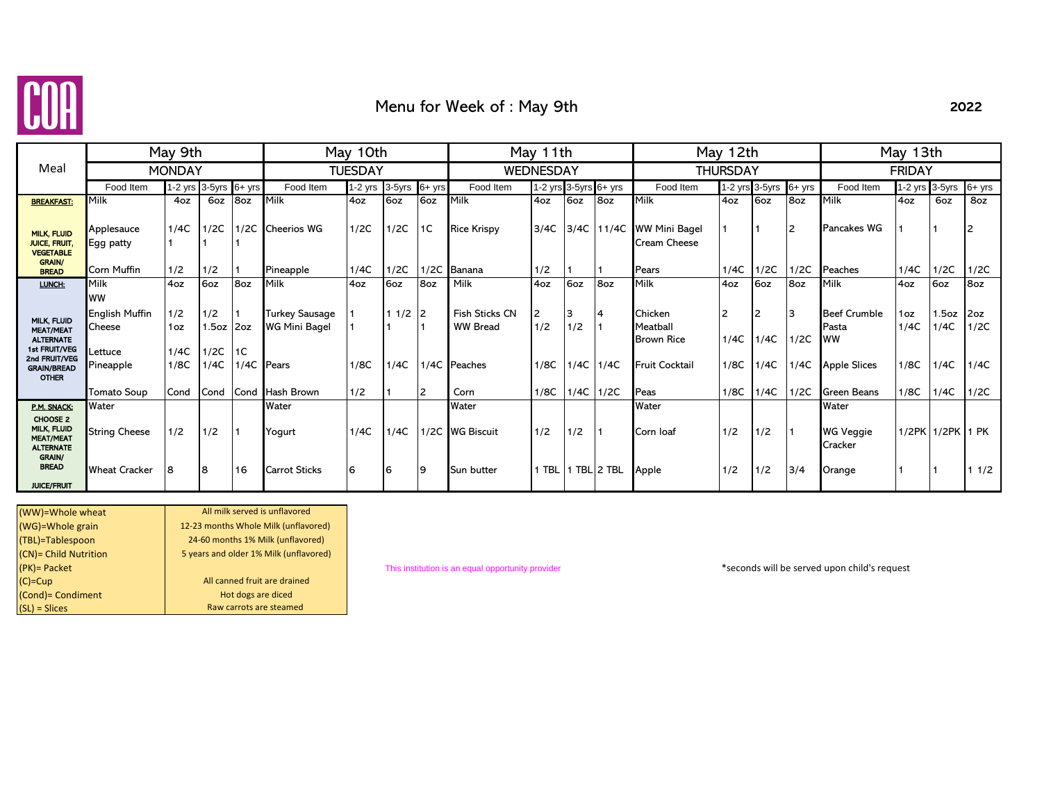

### Menu for Week of : May 9th

|                                                                                                                             |                                                                                            | May 9th                            |                                      |           |                                                                                | May 10th       |                  |                | May 11th                                                         |                            |                                        |          | May 12th                                                                  |                           | May 13th                  |                            |                                                                                        |                             |                               |                             |
|-----------------------------------------------------------------------------------------------------------------------------|--------------------------------------------------------------------------------------------|------------------------------------|--------------------------------------|-----------|--------------------------------------------------------------------------------|----------------|------------------|----------------|------------------------------------------------------------------|----------------------------|----------------------------------------|----------|---------------------------------------------------------------------------|---------------------------|---------------------------|----------------------------|----------------------------------------------------------------------------------------|-----------------------------|-------------------------------|-----------------------------|
| Meal                                                                                                                        |                                                                                            | <b>MONDAY</b>                      |                                      |           |                                                                                | <b>TUESDAY</b> |                  |                | WEDNESDAY                                                        |                            |                                        |          | THURSDAY                                                                  |                           | <b>FRIDAY</b>             |                            |                                                                                        |                             |                               |                             |
|                                                                                                                             | Food Item                                                                                  |                                    | 1-2 yrs 3-5yrs 6+ yrs                |           | Food Item                                                                      | $1-2$ yrs      | 3-5yrs           | 6+ yrs         | Food Item                                                        | 1-2 yrs $3-5$ yrs $6+$ yrs |                                        |          | Food Item                                                                 |                           | 1-2 yrs 3-5yrs            | $6+$ yrs                   | Food Item                                                                              | 1-2 yrs 3-5yrs              |                               | $6+$ yrs                    |
| <b>BREAKFAST:</b>                                                                                                           | Milk                                                                                       | 4oz                                | 6oz                                  | 8oz       | Milk                                                                           | 4oz            | 6oz              | 6oz            | Milk                                                             | 4oz                        | 6oz                                    | 8oz      | Milk                                                                      | 4oz                       | 6oz                       | 8oz                        | Milk                                                                                   | 4oz                         | 6oz                           | 8oz                         |
| <b>MILK, FLUID</b><br><b>JUICE, FRUIT.</b><br><b>VEGETABLE</b><br><b>GRAIN/</b>                                             | Applesauce<br>Egg patty                                                                    | 1/4C                               | 1/2C                                 | 1/2C      | <b>Cheerios WG</b>                                                             | 1/2C           | 1/2C             | 1 <sup>C</sup> | <b>Rice Krispy</b>                                               | 3/4C                       | 3/4C                                   | 11/4C    | <b>WW Mini Bagel</b><br>Cream Cheese                                      |                           |                           | 12                         | <b>Pancakes WG</b>                                                                     |                             |                               |                             |
| <b>BREAD</b>                                                                                                                | Corn Muffin                                                                                | 1/2                                | 1/2                                  |           | Pineapple                                                                      | 1/4C           | 1/2C             | 1/2C           | Banana                                                           | 1/2                        |                                        |          | Pears                                                                     | 1/4C                      | 1/2C                      | 1/2C                       | Peaches                                                                                | 1/4C                        | 1/2C                          | 1/2C                        |
| LUNCH:                                                                                                                      | Milk                                                                                       | 4oz                                | 6oz                                  | 8oz       | Milk                                                                           | 4oz            | 6oz              | 8oz            | Milk                                                             | 4oz                        | 6oz                                    | 8oz      | Milk                                                                      | 4oz                       | 6oz                       | 8oz                        | Milk                                                                                   | 4oz                         | 6oz                           | 8oz                         |
| MILK, FLUID<br><b>MEAT/MEAT</b><br><b>ALTERNATE</b><br>1st FRUIT/VEG<br>2nd FRUIT/VEG<br><b>GRAIN/BREAD</b><br><b>OTHER</b> | <b>WW</b><br><b>English Muffin</b><br>Cheese<br>.ettuce<br>Pineapple<br><b>Tomato Soup</b> | 1/2<br>1oz<br>1/4C<br>1/8C<br>Cond | 1/2<br>l.5oz<br>1/2C<br>1/4C<br>Cond | 2oz<br>1C | <b>Turkey Sausage</b><br><b>WG Mini Bagel</b><br>1/4C Pears<br>Cond Hash Brown | 1/8C<br>1/2    | $11/2$ 2<br>1/4C | l2             | <b>Fish Sticks CN</b><br><b>WW Bread</b><br>1/4C Peaches<br>Corn | 2<br>1/2<br>1/8C<br>1/8C   | 3<br>1/2<br>$1/4C$ 1/4C<br>$1/4C$ 1/2C | <b>4</b> | Chicken<br>Meatball<br><b>Brown Rice</b><br><b>Fruit Cocktail</b><br>Peas | 2<br>1/4C<br>1/8C<br>1/8C | 2<br>1/4C<br>1/4C<br>1/4C | Ι3<br>1/2C<br>1/4C<br>1/2C | <b>Beef Crumble</b><br>Pasta<br><b>WW</b><br><b>Apple Slices</b><br><b>Green Beans</b> | 1oz<br>1/4C<br>1/8C<br>1/8C | 1.5oz<br>1/4C<br>1/4C<br>1/4C | 2oz<br>1/2C<br>1/4C<br>1/2C |
| P.M. SNACK:                                                                                                                 | Water                                                                                      |                                    |                                      |           | Water                                                                          |                |                  |                | Water                                                            |                            |                                        |          | Water                                                                     |                           |                           |                            | Water                                                                                  |                             |                               |                             |
| CHOOSE 2<br>MILK, FLUID<br><b>MEAT/MEAT</b><br><b>ALTERNATE</b><br><b>GRAIN/</b>                                            | <b>String Cheese</b>                                                                       | 1/2                                | 1/2                                  |           | Yogurt                                                                         | 1/4C           | 1/4C             |                | 1/2C WG Biscuit                                                  | 1/2                        | 1/2                                    |          | Corn loaf                                                                 | 1/2                       | 1/2                       |                            | <b>WG Veggie</b><br>Cracker                                                            |                             | 1/2PK 1/2PK 1 PK              |                             |
| <b>BREAD</b><br><b>JUICE/FRUIT</b>                                                                                          | <b>Wheat Cracker</b>                                                                       | <b>8</b>                           | 8                                    | 16        | <b>Carrot Sticks</b>                                                           | 6              | 6                | 9              | Sun butter                                                       |                            |                                        |          | Apple                                                                     | 1/2                       | 1/2                       | 3/4                        | Orange                                                                                 |                             |                               | 11/2                        |

| (WW)=Whole wheat      | All milk served is unflavored          |
|-----------------------|----------------------------------------|
| (WG)=Whole grain      | 12-23 months Whole Milk (unflavored)   |
| (TBL)=Tablespoon      | 24-60 months 1% Milk (unflavored)      |
| (CN)= Child Nutrition | 5 years and older 1% Milk (unflavored) |
| $(PK)$ = Packet       |                                        |
| $(C)=Cup$             | All canned fruit are drained           |
| (Cond)= Condiment     | Hot dogs are diced                     |
| $(SL)$ = Slices       | Raw carrots are steamed                |
|                       |                                        |

(PK)= Packet This institution is an equal opportunity provider \*seconds will be served upon child's request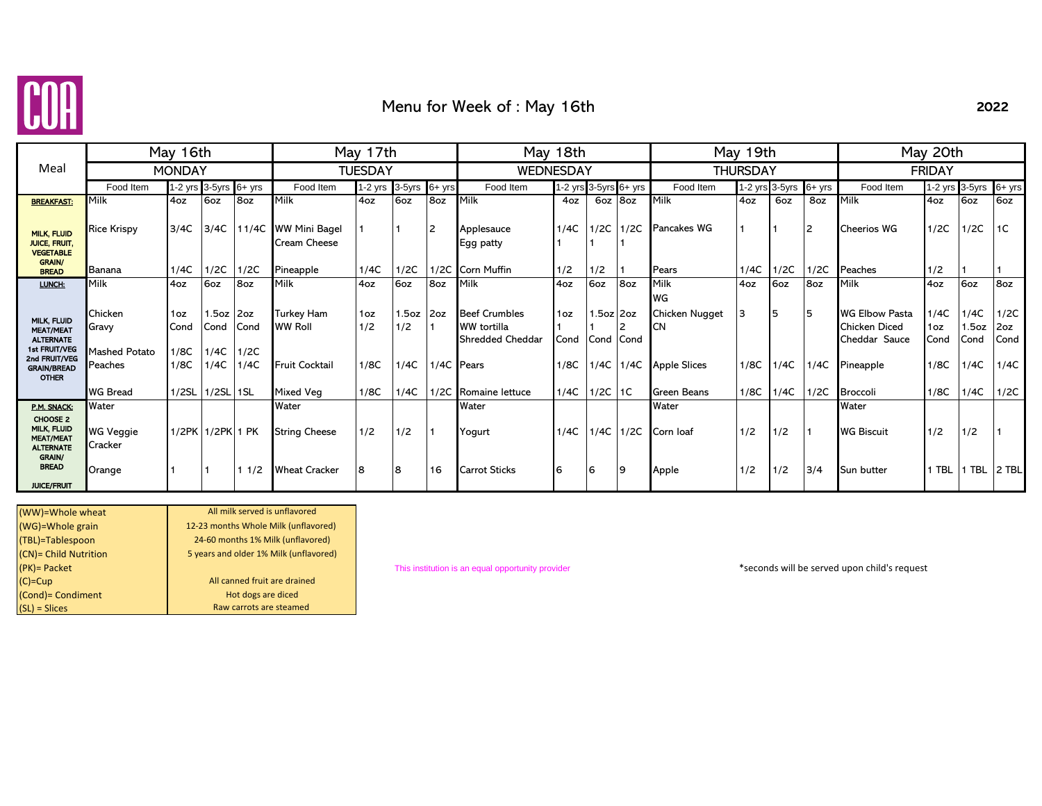

# Menu for Week of : May 16th

|                                                                                                                                    |                                              | May 16th                                |                                   |                             |                                                       | May 17th              |                            |                |                                                                              | May 18th                   |                     |                   | May 19th                                    |            | May 20th       |               |                                                                             |                             |                               |                             |
|------------------------------------------------------------------------------------------------------------------------------------|----------------------------------------------|-----------------------------------------|-----------------------------------|-----------------------------|-------------------------------------------------------|-----------------------|----------------------------|----------------|------------------------------------------------------------------------------|----------------------------|---------------------|-------------------|---------------------------------------------|------------|----------------|---------------|-----------------------------------------------------------------------------|-----------------------------|-------------------------------|-----------------------------|
| Meal                                                                                                                               |                                              | <b>MONDAY</b>                           |                                   |                             |                                                       | TUESDAY               |                            |                | WEDNESDAY                                                                    |                            |                     |                   | <b>THURSDAY</b>                             |            |                | <b>FRIDAY</b> |                                                                             |                             |                               |                             |
|                                                                                                                                    | Food Item                                    | 1-2 yrs 3-5yrs                          |                                   | $6 + yrs$                   | Food Item                                             | 1-2 yrs 3-5yrs 6+ yrs |                            |                | Food Item                                                                    | 1-2 yrs $3-5$ yrs $6+$ yrs |                     |                   | Food Item                                   |            | 1-2 yrs 3-5yrs | $6+$ yrs      | Food Item                                                                   |                             | 1-2 yrs 3-5yrs                | 6+ yrs                      |
| <b>BREAKFAST:</b>                                                                                                                  | Milk                                         | 4oz                                     | 6oz                               | 8oz                         | Milk                                                  | 4oz                   | 6oz                        | 8oz            | Milk                                                                         | 4oz                        | 6oz 8oz             |                   | Milk                                        | 4oz        | 6oz            | 8oz           | Milk                                                                        | 4oz                         | 6oz                           | 6oz                         |
| <b>MILK, FLUID</b><br><b>JUICE, FRUIT.</b><br><b>VEGETABLE</b><br><b>GRAIN/</b>                                                    | <b>Rice Krispy</b>                           | 3/4C                                    | 3/4C                              | 11/4C                       | <b>WW Mini Bagel</b><br><b>Cream Cheese</b>           |                       |                            | $\overline{2}$ | Applesauce<br>Egg patty                                                      | 1/4C                       |                     | $1/2C$   $1/2C$   | <b>Pancakes WG</b>                          |            |                |               | <b>Cheerios WG</b>                                                          | 1/2C                        | 1/2C                          | 1 <sup>C</sup>              |
| <b>BREAD</b>                                                                                                                       | Banana                                       | 1/4C                                    | 1/2C                              | 1/2C                        | Pineapple                                             | 1/4C                  | 1/2C                       |                | 1/2C Corn Muffin                                                             | 1/2                        | 1/2                 |                   | Pears                                       | 1/4C       | 1/2C           | 1/2C          | Peaches                                                                     | 1/2                         |                               |                             |
| LUNCH:                                                                                                                             | Milk                                         | 4oz                                     | 6oz                               | 8oz                         | Milk                                                  | 4oz                   | 6oz                        | 8oz            | Milk                                                                         | 4oz                        | 6oz                 | 8oz               | Milk                                        | 4oz        | 6oz            | 8oz           | Milk                                                                        | 4oz                         | 6oz                           | 8oz                         |
| <b>MILK, FLUID</b><br><b>MEAT/MEAT</b><br><b>ALTERNATE</b><br>1st FRUIT/VEG<br>2nd FRUIT/VEG<br><b>GRAIN/BREAD</b><br><b>OTHER</b> | Chicken<br>Gravy<br>Mashed Potato<br>Peaches | 1 <sub>oz</sub><br>Cond<br>1/8C<br>1/8C | 1.5oz 2oz<br>Cond<br>1/4C<br>1/4C | <b>Cond</b><br>1/2C<br>1/4C | Turkey Ham<br><b>WW Roll</b><br><b>Fruit Cocktail</b> | 1oz<br>1/2<br>1/8C    | $1.5oz$ 2oz<br>1/2<br>1/4C |                | <b>Beef Crumbles</b><br>WW tortilla<br><b>Shredded Cheddar</b><br>1/4C Pears | 1oz<br>Cond<br>1/8C        | $1.5oz$ 2oz<br>Cond | Cond<br>1/4C 1/4C | WG<br>Chicken Nugget<br><b>Apple Slices</b> | 3<br>1/8C  | 5<br>1/4C      | -5<br>1/4C    | <b>WG Elbow Pasta</b><br><b>Chicken Diced</b><br>Cheddar Sauce<br>Pineapple | 1/4C<br>1oz<br>Cond<br>1/8C | 1/4C<br>1.5oz<br>Cond<br>1/4C | 1/2C<br>2oz<br>Cond<br>1/4C |
|                                                                                                                                    | <b>WG Bread</b>                              | 1/2SL                                   | $1/2$ SL $1$ SL                   |                             | Mixed Veg                                             | 1/8C                  | 1/4C                       |                | 1/2C Romaine lettuce                                                         | 1/4C                       | $1/2C$ 1C           |                   | <b>Green Beans</b>                          | 1/8C       | 1/4C           | 1/2C          | <b>Broccoli</b>                                                             | 1/8C                        | 1/4C                          | 1/2C                        |
| P.M. SNACK:<br>CHOOSE 2<br>MILK, FLUID<br><b>MEAT/MEAT</b><br><b>ALTERNATE</b><br><b>GRAIN/</b><br><b>BREAD</b>                    | Water<br>WG Veggie<br>Cracker<br>Orange      |                                         | 1/2PK 1/2PK 1 PK                  | 1/2                         | Water<br><b>String Cheese</b><br><b>Wheat Cracker</b> | 1/2<br>8              | 1/2<br>8                   | 16             | Water<br>Yogurt<br><b>Carrot Sticks</b>                                      | 1/4C<br>6                  | 6                   | 1/4C 1/2C<br>9    | Water<br>Corn loaf<br>Apple                 | 1/2<br>1/2 | 1/2<br>1/2     | 3/4           | Water<br><b>WG Biscuit</b><br>Sun butter                                    | 1/2<br><b>TBL</b>           | 1/2<br>1 TBL 2 TBL            |                             |
| <b>JUICE/FRUIT</b>                                                                                                                 |                                              |                                         |                                   |                             |                                                       |                       |                            |                |                                                                              |                            |                     |                   |                                             |            |                |               |                                                                             |                             |                               |                             |

| All milk served is unflavored          |
|----------------------------------------|
| 12-23 months Whole Milk (unflavored)   |
| 24-60 months 1% Milk (unflavored)      |
| 5 years and older 1% Milk (unflavored) |
|                                        |
| All canned fruit are drained           |
| Hot dogs are diced                     |
| Raw carrots are steamed                |
|                                        |

(PK)= Packet This institution is an equal opportunity provider \*seconds will be served upon child's request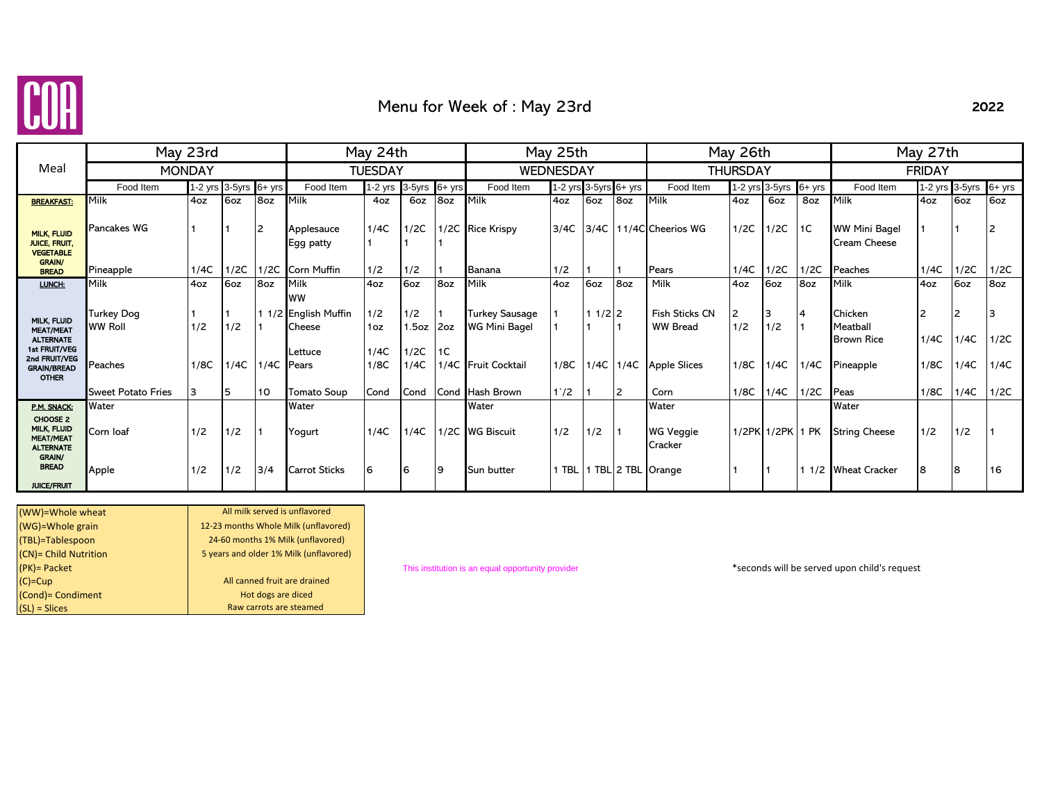

# Menu for Week of : May 23rd

### 2022

|                                                                      | May 23rd                            |      |                         |                 |                                             | May 24th       |               |     |                                        | May 25th         |                       |      |                                          | May 26th        |                       |      | May 27th                                 |           |           |          |  |
|----------------------------------------------------------------------|-------------------------------------|------|-------------------------|-----------------|---------------------------------------------|----------------|---------------|-----|----------------------------------------|------------------|-----------------------|------|------------------------------------------|-----------------|-----------------------|------|------------------------------------------|-----------|-----------|----------|--|
| Meal                                                                 | <b>MONDAY</b>                       |      |                         |                 |                                             | <b>TUESDAY</b> |               |     |                                        | <b>WEDNESDAY</b> |                       |      |                                          | <b>THURSDAY</b> |                       |      | <b>FRIDAY</b>                            |           |           |          |  |
|                                                                      | Food Item                           |      | 1-2 yrs $3-5yrs$ 6+ yrs |                 | Food Item                                   | $1-2$ yrs      | 3-5yrs 6+ yrs |     | Food Item                              |                  | 1-2 yrs 3-5yrs 6+ yrs |      | Food Item                                |                 | 1-2 yrs 3-5yrs 6+ yrs |      | Food Item                                | $1-2$ yrs | 3-5yrs    | $6+$ yrs |  |
| <b>BREAKFAST:</b>                                                    | <b>Milk</b>                         | 4oz  | 6oz                     | 8 <sub>oz</sub> | Milk                                        | 4oz            | 6oz           | 8oz | Milk                                   | 4oz              | 6oz                   | 8oz  | Milk                                     | 4oz             | 6oz                   | 8oz  | Milk                                     | 4oz       | 6oz       | 6oz      |  |
| <b>MILK, FLUID</b><br><b>JUICE, FRUIT.</b><br><b>VEGETABLE</b>       | Pancakes WG                         |      |                         | $\overline{2}$  | Applesauce<br>Egg patty                     | 1/4C           | 1/2C          |     | 1/2C Rice Krispy                       | 3/4C             | 3/4C                  |      | 11/4C Cheerios WG                        | 1/2C            | 1/2C                  | 1C   | <b>WW Mini Bagel</b><br>Cream Cheese     |           |           | 2        |  |
| <b>GRAIN/</b><br><b>BREAD</b>                                        | Pineapple                           | 1/4C | 1/2C                    | 1/2C            | Corn Muffin                                 | 1/2            | 1/2           |     | Banana                                 | 1/2              |                       |      | Pears                                    | 1/4C            | 1/2C                  | 1/2C | Peaches                                  | 1/4C      | 1/2C      | 1/2C     |  |
| LUNCH:                                                               | <b>Milk</b>                         | 4oz  | 6oz                     | 8oz             | Milk                                        | 4oz            | 6oz           | 8oz | Milk                                   | 4oz              | 6oz                   | 8oz  | Milk                                     | 4oz             | 6oz                   | 8oz  | Milk                                     | 4oz       | 6oz       | 8oz      |  |
| MILK, FLUID<br><b>MEAT/MEAT</b><br><b>ALTERNATE</b>                  | <b>Turkey Dog</b><br><b>WW Roll</b> | 1/2  | 1/2                     |                 | <b>WW</b><br>1 1/2 English Muffin<br>Cheese | 1/2<br>1oz     | 1/2<br>1.5oz  | 2oz | <b>Turkey Sausage</b><br>WG Mini Bagel |                  | $11/2$ 2              |      | <b>Fish Sticks CN</b><br><b>WW Bread</b> | 2<br>1/2        | 3<br>1/2              | 4    | Chicken<br>Meatball<br><b>Brown Rice</b> | 2<br>1/4C | 2<br>1/4C | 1/2C     |  |
| 1st FRUIT/VEG<br>2nd FRUIT/VEG<br><b>GRAIN/BREAD</b><br><b>OTHER</b> | Peaches                             | 1/8C | 1/4C                    | 1/4C            | Lettuce<br>Pears                            | 1/4C<br>1/8C   | 1/2C<br>1/4C  | 1C  | 1/4C Fruit Cocktail                    | 1/8C             | 1/4C                  | 1/4C | <b>Apple Slices</b>                      | 1/8C            | 1/4C                  | 1/4C | Pineapple                                | 1/8C      | 1/4C      | 1/4C     |  |
|                                                                      | <b>Sweet Potato Fries</b>           | 3    | 5                       | 10              | <b>Tomato Soup</b>                          | Cond           | Cond          |     | Cond Hash Brown                        | $1^{\circ}/2$    |                       | 2    | Corn                                     | 1/8C            | 1/4C                  | 1/2C | Peas                                     | 1/8C      | 1/4C      | 1/2C     |  |
| P.M. SNACK:                                                          | Water                               |      |                         |                 | Water                                       |                |               |     | Water                                  |                  |                       |      | Water                                    |                 |                       |      | Water                                    |           |           |          |  |
| CHOOSE 2<br>MILK, FLUID<br><b>MEAT/MEAT</b><br><b>ALTERNATE</b>      | Corn loaf                           | 1/2  | 1/2                     |                 | Yogurt                                      | 1/4C           | 1/4C          |     | 1/2C WG Biscuit                        | 1/2              | 1/2                   |      | WG Veggie<br>Cracker                     |                 | 1/2PK 1/2PK 1 PK      |      | <b>String Cheese</b>                     | 1/2       | 1/2       |          |  |
| <b>GRAIN/</b><br><b>BREAD</b><br><b>JUICE/FRUIT</b>                  | Apple                               | 1/2  | 1/2                     | 3/4             | <b>Carrot Sticks</b>                        | 6              | 16            | 9   | Sun butter                             |                  |                       |      | 1 TBL 1 TBL 2 TBL Orange                 |                 |                       |      | 1 1/2 Wheat Cracker                      | 8         | 8         | 16       |  |

| (WW)=Whole wheat      | All milk served is unflavored          |
|-----------------------|----------------------------------------|
| (WG)=Whole grain      | 12-23 months Whole Milk (unflavored)   |
| (TBL)=Tablespoon      | 24-60 months 1% Milk (unflavored)      |
| (CN)= Child Nutrition | 5 years and older 1% Milk (unflavored) |
| $(PK)$ = Packet       |                                        |
| $(C)=Cup$             | All canned fruit are drained           |
| (Cond) = Condiment    | Hot dogs are diced                     |
| $(SL) = Slices$       | Raw carrots are steamed                |

(PK)= Packet This institution is an equal opportunity provider \*seconds will be served upon child's request